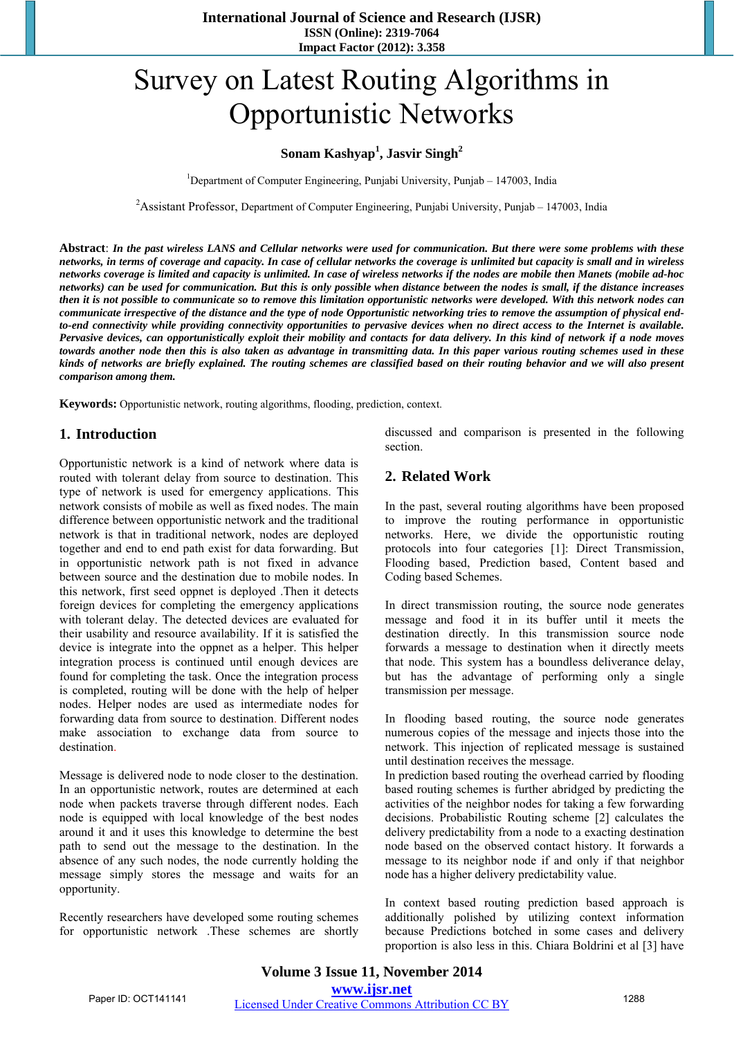# Survey on Latest Routing Algorithms in Opportunistic Networks

## **Sonam Kashyap<sup>1</sup> , Jasvir Singh<sup>2</sup>**

<sup>1</sup>Department of Computer Engineering, Punjabi University, Punjab – 147003, India

<sup>2</sup> Assistant Professor, Department of Computer Engineering, Punjabi University, Punjab – 147003, India

**Abstract**: *In the past wireless LANS and Cellular networks were used for communication. But there were some problems with these networks, in terms of coverage and capacity. In case of cellular networks the coverage is unlimited but capacity is small and in wireless networks coverage is limited and capacity is unlimited. In case of wireless networks if the nodes are mobile then Manets (mobile ad-hoc networks) can be used for communication. But this is only possible when distance between the nodes is small, if the distance increases then it is not possible to communicate so to remove this limitation opportunistic networks were developed. With this network nodes can communicate irrespective of the distance and the type of node Opportunistic networking tries to remove the assumption of physical endto-end connectivity while providing connectivity opportunities to pervasive devices when no direct access to the Internet is available. Pervasive devices, can opportunistically exploit their mobility and contacts for data delivery. In this kind of network if a node moves towards another node then this is also taken as advantage in transmitting data. In this paper various routing schemes used in these kinds of networks are briefly explained. The routing schemes are classified based on their routing behavior and we will also present comparison among them.* 

**Keywords:** Opportunistic network, routing algorithms, flooding, prediction, context.

# **1. Introduction**

Opportunistic network is a kind of network where data is routed with tolerant delay from source to destination. This type of network is used for emergency applications. This network consists of mobile as well as fixed nodes. The main difference between opportunistic network and the traditional network is that in traditional network, nodes are deployed together and end to end path exist for data forwarding. But in opportunistic network path is not fixed in advance between source and the destination due to mobile nodes. In this network, first seed oppnet is deployed .Then it detects foreign devices for completing the emergency applications with tolerant delay. The detected devices are evaluated for their usability and resource availability. If it is satisfied the device is integrate into the oppnet as a helper. This helper integration process is continued until enough devices are found for completing the task. Once the integration process is completed, routing will be done with the help of helper nodes. Helper nodes are used as intermediate nodes for forwarding data from source to destination. Different nodes make association to exchange data from source to destination.

Message is delivered node to node closer to the destination. In an opportunistic network, routes are determined at each node when packets traverse through different nodes. Each node is equipped with local knowledge of the best nodes around it and it uses this knowledge to determine the best path to send out the message to the destination. In the absence of any such nodes, the node currently holding the message simply stores the message and waits for an opportunity.

Recently researchers have developed some routing schemes for opportunistic network .These schemes are shortly discussed and comparison is presented in the following section.

## **2. Related Work**

In the past, several routing algorithms have been proposed to improve the routing performance in opportunistic networks. Here, we divide the opportunistic routing protocols into four categories [1]: Direct Transmission, Flooding based, Prediction based, Content based and Coding based Schemes.

In direct transmission routing, the source node generates message and food it in its buffer until it meets the destination directly. In this transmission source node forwards a message to destination when it directly meets that node. This system has a boundless deliverance delay, but has the advantage of performing only a single transmission per message.

In flooding based routing, the source node generates numerous copies of the message and injects those into the network. This injection of replicated message is sustained until destination receives the message.

In prediction based routing the overhead carried by flooding based routing schemes is further abridged by predicting the activities of the neighbor nodes for taking a few forwarding decisions. Probabilistic Routing scheme [2] calculates the delivery predictability from a node to a exacting destination node based on the observed contact history. It forwards a message to its neighbor node if and only if that neighbor node has a higher delivery predictability value.

In context based routing prediction based approach is additionally polished by utilizing context information because Predictions botched in some cases and delivery proportion is also less in this. Chiara Boldrini et al [3] have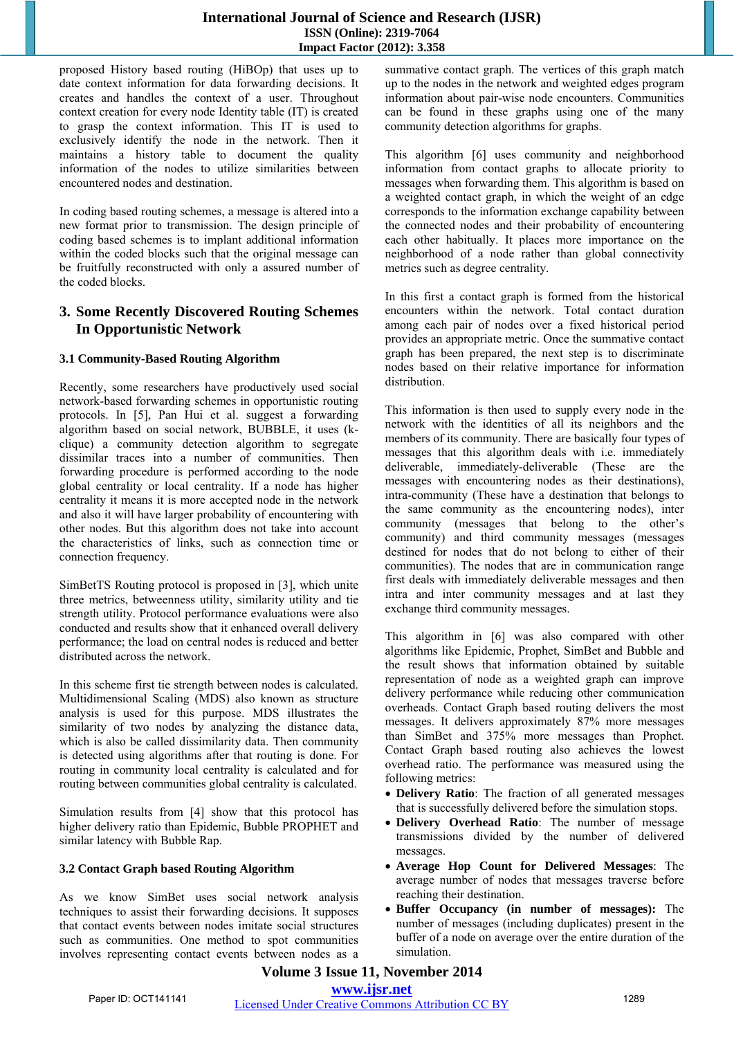#### **International Journal of Science and Research (IJSR) ISSN (Online): 2319-7064 Impact Factor (2012): 3.358**

proposed History based routing (HiBOp) that uses up to date context information for data forwarding decisions. It creates and handles the context of a user. Throughout context creation for every node Identity table (IT) is created to grasp the context information. This IT is used to exclusively identify the node in the network. Then it maintains a history table to document the quality information of the nodes to utilize similarities between encountered nodes and destination.

In coding based routing schemes, a message is altered into a new format prior to transmission. The design principle of coding based schemes is to implant additional information within the coded blocks such that the original message can be fruitfully reconstructed with only a assured number of the coded blocks.

# **3. Some Recently Discovered Routing Schemes In Opportunistic Network**

## **3.1 Community-Based Routing Algorithm**

Recently, some researchers have productively used social network-based forwarding schemes in opportunistic routing protocols. In [5], Pan Hui et al. suggest a forwarding algorithm based on social network, BUBBLE, it uses (kclique) a community detection algorithm to segregate dissimilar traces into a number of communities. Then forwarding procedure is performed according to the node global centrality or local centrality. If a node has higher centrality it means it is more accepted node in the network and also it will have larger probability of encountering with other nodes. But this algorithm does not take into account the characteristics of links, such as connection time or connection frequency.

SimBetTS Routing protocol is proposed in [3], which unite three metrics, betweenness utility, similarity utility and tie strength utility. Protocol performance evaluations were also conducted and results show that it enhanced overall delivery performance; the load on central nodes is reduced and better distributed across the network.

In this scheme first tie strength between nodes is calculated. Multidimensional Scaling (MDS) also known as structure analysis is used for this purpose. MDS illustrates the similarity of two nodes by analyzing the distance data, which is also be called dissimilarity data. Then community is detected using algorithms after that routing is done. For routing in community local centrality is calculated and for routing between communities global centrality is calculated.

Simulation results from [4] show that this protocol has higher delivery ratio than Epidemic, Bubble PROPHET and similar latency with Bubble Rap.

#### **3.2 Contact Graph based Routing Algorithm**

As we know SimBet uses social network analysis techniques to assist their forwarding decisions. It supposes that contact events between nodes imitate social structures such as communities. One method to spot communities involves representing contact events between nodes as a

summative contact graph. The vertices of this graph match up to the nodes in the network and weighted edges program information about pair-wise node encounters. Communities can be found in these graphs using one of the many community detection algorithms for graphs.

This algorithm [6] uses community and neighborhood information from contact graphs to allocate priority to messages when forwarding them. This algorithm is based on a weighted contact graph, in which the weight of an edge corresponds to the information exchange capability between the connected nodes and their probability of encountering each other habitually. It places more importance on the neighborhood of a node rather than global connectivity metrics such as degree centrality.

In this first a contact graph is formed from the historical encounters within the network. Total contact duration among each pair of nodes over a fixed historical period provides an appropriate metric. Once the summative contact graph has been prepared, the next step is to discriminate nodes based on their relative importance for information distribution.

This information is then used to supply every node in the network with the identities of all its neighbors and the members of its community. There are basically four types of messages that this algorithm deals with i.e. immediately deliverable, immediately-deliverable (These are the messages with encountering nodes as their destinations), intra-community (These have a destination that belongs to the same community as the encountering nodes), inter community (messages that belong to the other's community) and third community messages (messages destined for nodes that do not belong to either of their communities). The nodes that are in communication range first deals with immediately deliverable messages and then intra and inter community messages and at last they exchange third community messages.

This algorithm in [6] was also compared with other algorithms like Epidemic, Prophet, SimBet and Bubble and the result shows that information obtained by suitable representation of node as a weighted graph can improve delivery performance while reducing other communication overheads. Contact Graph based routing delivers the most messages. It delivers approximately 87% more messages than SimBet and 375% more messages than Prophet. Contact Graph based routing also achieves the lowest overhead ratio. The performance was measured using the following metrics:

- **Delivery Ratio**: The fraction of all generated messages that is successfully delivered before the simulation stops.
- **Delivery Overhead Ratio**: The number of message transmissions divided by the number of delivered messages.
- **Average Hop Count for Delivered Messages**: The average number of nodes that messages traverse before reaching their destination.
- **Buffer Occupancy (in number of messages):** The number of messages (including duplicates) present in the buffer of a node on average over the entire duration of the simulation.

## **Volume 3 Issue 11, November 2014 www.ijsr.net**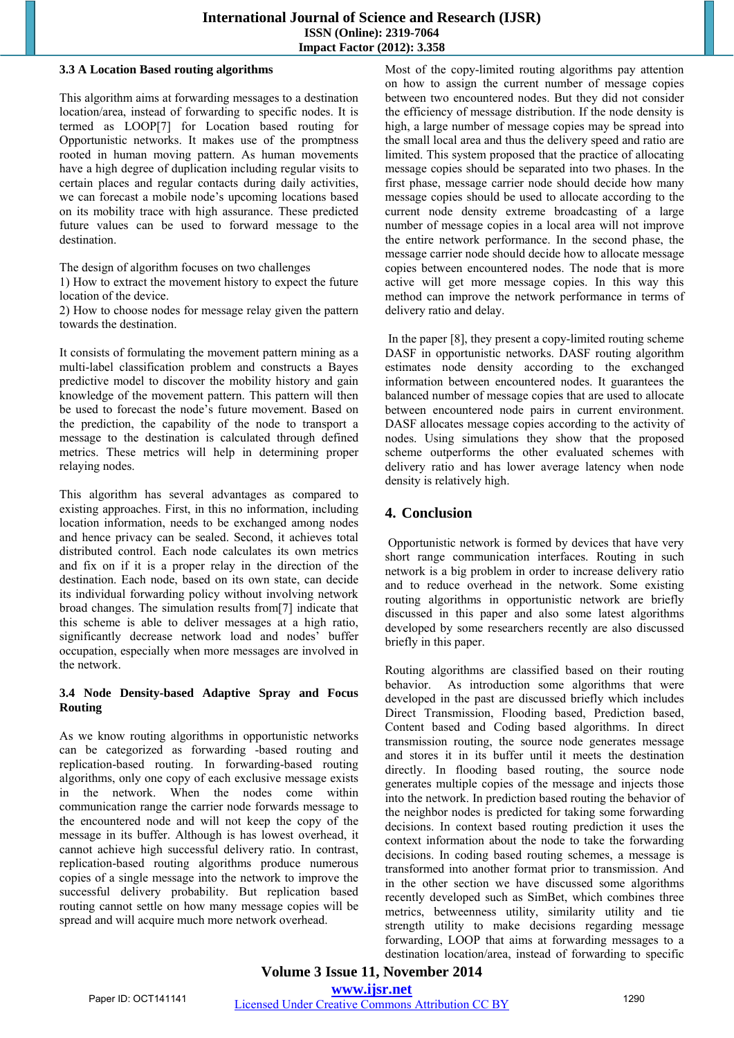## **International Journal of Science and Research (IJSR) ISSN (Online): 2319-7064 Impact Factor (2012): 3.358**

#### **3.3 A Location Based routing algorithms**

This algorithm aims at forwarding messages to a destination location/area, instead of forwarding to specific nodes. It is termed as LOOP[7] for Location based routing for Opportunistic networks. It makes use of the promptness rooted in human moving pattern. As human movements have a high degree of duplication including regular visits to certain places and regular contacts during daily activities, we can forecast a mobile node's upcoming locations based on its mobility trace with high assurance. These predicted future values can be used to forward message to the destination.

The design of algorithm focuses on two challenges

1) How to extract the movement history to expect the future location of the device.

2) How to choose nodes for message relay given the pattern towards the destination.

It consists of formulating the movement pattern mining as a multi-label classification problem and constructs a Bayes predictive model to discover the mobility history and gain knowledge of the movement pattern. This pattern will then be used to forecast the node's future movement. Based on the prediction, the capability of the node to transport a message to the destination is calculated through defined metrics. These metrics will help in determining proper relaying nodes.

This algorithm has several advantages as compared to existing approaches. First, in this no information, including location information, needs to be exchanged among nodes and hence privacy can be sealed. Second, it achieves total distributed control. Each node calculates its own metrics and fix on if it is a proper relay in the direction of the destination. Each node, based on its own state, can decide its individual forwarding policy without involving network broad changes. The simulation results from[7] indicate that this scheme is able to deliver messages at a high ratio, significantly decrease network load and nodes' buffer occupation, especially when more messages are involved in the network.

#### **3.4 Node Density-based Adaptive Spray and Focus Routing**

As we know routing algorithms in opportunistic networks can be categorized as forwarding -based routing and replication-based routing. In forwarding-based routing algorithms, only one copy of each exclusive message exists in the network. When the nodes come within communication range the carrier node forwards message to the encountered node and will not keep the copy of the message in its buffer. Although is has lowest overhead, it cannot achieve high successful delivery ratio. In contrast, replication-based routing algorithms produce numerous copies of a single message into the network to improve the successful delivery probability. But replication based routing cannot settle on how many message copies will be spread and will acquire much more network overhead.

Most of the copy-limited routing algorithms pay attention on how to assign the current number of message copies between two encountered nodes. But they did not consider the efficiency of message distribution. If the node density is high, a large number of message copies may be spread into the small local area and thus the delivery speed and ratio are limited. This system proposed that the practice of allocating message copies should be separated into two phases. In the first phase, message carrier node should decide how many message copies should be used to allocate according to the current node density extreme broadcasting of a large number of message copies in a local area will not improve the entire network performance. In the second phase, the message carrier node should decide how to allocate message copies between encountered nodes. The node that is more active will get more message copies. In this way this method can improve the network performance in terms of delivery ratio and delay.

 In the paper [8], they present a copy-limited routing scheme DASF in opportunistic networks. DASF routing algorithm estimates node density according to the exchanged information between encountered nodes. It guarantees the balanced number of message copies that are used to allocate between encountered node pairs in current environment. DASF allocates message copies according to the activity of nodes. Using simulations they show that the proposed scheme outperforms the other evaluated schemes with delivery ratio and has lower average latency when node density is relatively high.

# **4. Conclusion**

 Opportunistic network is formed by devices that have very short range communication interfaces. Routing in such network is a big problem in order to increase delivery ratio and to reduce overhead in the network. Some existing routing algorithms in opportunistic network are briefly discussed in this paper and also some latest algorithms developed by some researchers recently are also discussed briefly in this paper.

Routing algorithms are classified based on their routing behavior. As introduction some algorithms that were developed in the past are discussed briefly which includes Direct Transmission, Flooding based, Prediction based, Content based and Coding based algorithms. In direct transmission routing, the source node generates message and stores it in its buffer until it meets the destination directly. In flooding based routing, the source node generates multiple copies of the message and injects those into the network. In prediction based routing the behavior of the neighbor nodes is predicted for taking some forwarding decisions. In context based routing prediction it uses the context information about the node to take the forwarding decisions. In coding based routing schemes, a message is transformed into another format prior to transmission. And in the other section we have discussed some algorithms recently developed such as SimBet, which combines three metrics, betweenness utility, similarity utility and tie strength utility to make decisions regarding message forwarding, LOOP that aims at forwarding messages to a destination location/area, instead of forwarding to specific